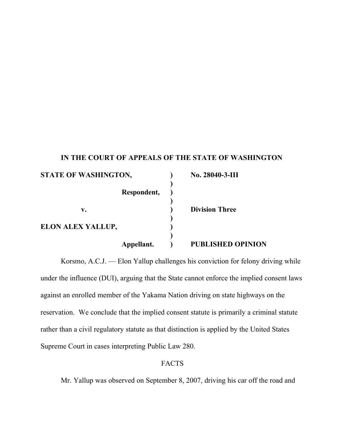## **IN THE COURT OF APPEALS OF THE STATE OF WASHINGTON**

| <b>STATE OF WASHINGTON,</b> |             | No. 28040-3-III          |
|-----------------------------|-------------|--------------------------|
|                             |             |                          |
|                             | Respondent, |                          |
| v.                          |             | <b>Division Three</b>    |
| ELON ALEX YALLUP,           |             |                          |
|                             | Appellant.  | <b>PUBLISHED OPINION</b> |

Korsmo, A.C.J. — Elon Yallup challenges his conviction for felony driving while under the influence (DUI), arguing that the State cannot enforce the implied consent laws against an enrolled member of the Yakama Nation driving on state highways on the reservation. We conclude that the implied consent statute is primarily a criminal statute rather than a civil regulatory statute as that distinction is applied by the United States Supreme Court in cases interpreting Public Law 280.

## FACTS

Mr. Yallup was observed on September 8, 2007, driving his car off the road and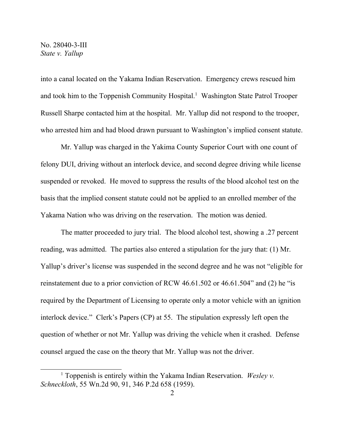into a canal located on the Yakama Indian Reservation. Emergency crews rescued him and took him to the Toppenish Community Hospital. <sup>1</sup> Washington State Patrol Trooper Russell Sharpe contacted him at the hospital. Mr. Yallup did not respond to the trooper, who arrested him and had blood drawn pursuant to Washington's implied consent statute.

Mr. Yallup was charged in the Yakima County Superior Court with one count of felony DUI, driving without an interlock device, and second degree driving while license suspended or revoked. He moved to suppress the results of the blood alcohol test on the basis that the implied consent statute could not be applied to an enrolled member of the Yakama Nation who was driving on the reservation. The motion was denied.

The matter proceeded to jury trial. The blood alcohol test, showing a .27 percent reading, was admitted. The parties also entered a stipulation for the jury that: (1) Mr. Yallup's driver's license was suspended in the second degree and he was not "eligible for reinstatement due to a prior conviction of RCW 46.61.502 or 46.61.504" and (2) he "is required by the Department of Licensing to operate only a motor vehicle with an ignition interlock device." Clerk's Papers (CP) at 55. The stipulation expressly left open the question of whether or not Mr. Yallup was driving the vehicle when it crashed. Defense counsel argued the case on the theory that Mr. Yallup was not the driver.

<sup>1</sup> Toppenish is entirely within the Yakama Indian Reservation. *Wesley v. Schneckloth*, 55 Wn.2d 90, 91, 346 P.2d 658 (1959).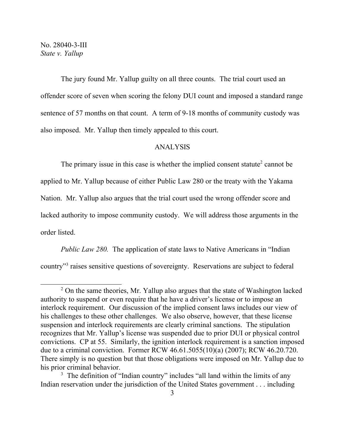The jury found Mr. Yallup guilty on all three counts. The trial court used an offender score of seven when scoring the felony DUI count and imposed a standard range sentence of 57 months on that count. A term of 9-18 months of community custody was also imposed. Mr. Yallup then timely appealed to this court.

## ANALYSIS

The primary issue in this case is whether the implied consent statute<sup>2</sup> cannot be applied to Mr. Yallup because of either Public Law 280 or the treaty with the Yakama Nation. Mr. Yallup also argues that the trial court used the wrong offender score and lacked authority to impose community custody. We will address those arguments in the order listed.

*Public Law 280.* The application of state laws to Native Americans in "Indian country" 3 raises sensitive questions of sovereignty. Reservations are subject to federal

<sup>&</sup>lt;sup>2</sup> On the same theories, Mr. Yallup also argues that the state of Washington lacked authority to suspend or even require that he have a driver's license or to impose an interlock requirement. Our discussion of the implied consent laws includes our view of his challenges to these other challenges. We also observe, however, that these license suspension and interlock requirements are clearly criminal sanctions. The stipulation recognizes that Mr. Yallup's license was suspended due to prior DUI or physical control convictions. CP at 55. Similarly, the ignition interlock requirement is a sanction imposed due to a criminal conviction. Former RCW 46.61.5055(10)(a) (2007); RCW 46.20.720. There simply is no question but that those obligations were imposed on Mr. Yallup due to his prior criminal behavior.

<sup>&</sup>lt;sup>3</sup> The definition of "Indian country" includes "all land within the limits of any Indian reservation under the jurisdiction of the United States government . . . including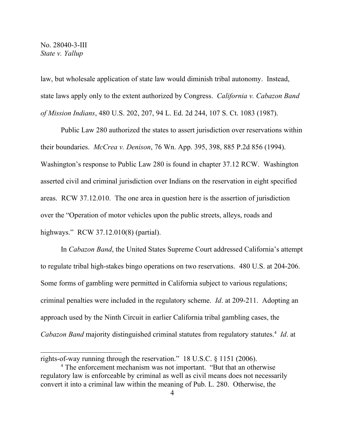law, but wholesale application of state law would diminish tribal autonomy. Instead, state laws apply only to the extent authorized by Congress. *California v. Cabazon Band of Mission Indians*, 480 U.S. 202, 207, 94 L. Ed. 2d 244, 107 S. Ct. 1083 (1987).

Public Law 280 authorized the states to assert jurisdiction over reservations within their boundaries. *McCrea v. Denison*, 76 Wn. App. 395, 398, 885 P.2d 856 (1994). Washington's response to Public Law 280 is found in chapter 37.12 RCW. Washington asserted civil and criminal jurisdiction over Indians on the reservation in eight specified areas. RCW 37.12.010. The one area in question here is the assertion of jurisdiction over the "Operation of motor vehicles upon the public streets, alleys, roads and highways." RCW 37.12.010(8) (partial).

In *Cabazon Band*, the United States Supreme Court addressed California's attempt to regulate tribal high-stakes bingo operations on two reservations. 480 U.S. at 204-206. Some forms of gambling were permitted in California subject to various regulations; criminal penalties were included in the regulatory scheme. *Id*. at 209-211. Adopting an approach used by the Ninth Circuit in earlier California tribal gambling cases, the *Cabazon Band* majority distinguished criminal statutes from regulatory statutes.<sup>4</sup> *Id*. at

rights-of-way running through the reservation." 18 U.S.C. § 1151 (2006).

<sup>4</sup> The enforcement mechanism was not important. "But that an otherwise regulatory law is enforceable by criminal as well as civil means does not necessarily convert it into a criminal law within the meaning of Pub. L. 280. Otherwise, the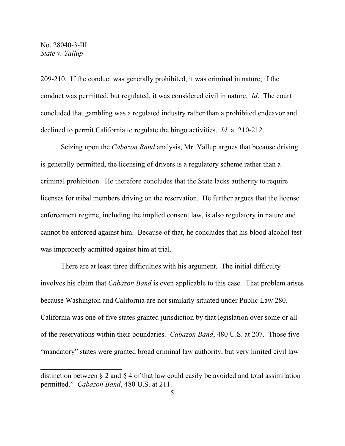209-210. If the conduct was generally prohibited, it was criminal in nature; if the conduct was permitted, but regulated, it was considered civil in nature. *Id*. The court concluded that gambling was a regulated industry rather than a prohibited endeavor and declined to permit California to regulate the bingo activities. *Id*. at 210-212.

Seizing upon the *Cabazon Band* analysis, Mr. Yallup argues that because driving is generally permitted, the licensing of drivers is a regulatory scheme rather than a criminal prohibition. He therefore concludes that the State lacks authority to require licenses for tribal members driving on the reservation. He further argues that the license enforcement regime, including the implied consent law, is also regulatory in nature and cannot be enforced against him. Because of that, he concludes that his blood alcohol test was improperly admitted against him at trial.

There are at least three difficulties with his argument. The initial difficulty involves his claim that *Cabazon Band* is even applicable to this case. That problem arises because Washington and California are not similarly situated under Public Law 280. California was one of five states granted jurisdiction by that legislation over some or all of the reservations within their boundaries. *Cabazon Band*, 480 U.S. at 207. Those five "mandatory" states were granted broad criminal law authority, but very limited civil law

distinction between § 2 and § 4 of that law could easily be avoided and total assimilation permitted." *Cabazon Band*, 480 U.S. at 211.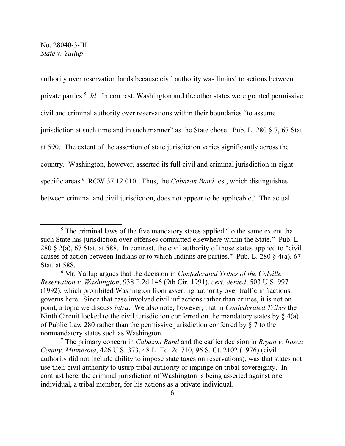authority over reservation lands because civil authority was limited to actions between private parties. 5 *Id*. In contrast, Washington and the other states were granted permissive civil and criminal authority over reservations within their boundaries "to assume jurisdiction at such time and in such manner" as the State chose. Pub. L. 280 § 7, 67 Stat. at 590. The extent of the assertion of state jurisdiction varies significantly across the country. Washington, however, asserted its full civil and criminal jurisdiction in eight specific areas. <sup>6</sup> RCW 37.12.010. Thus, the *Cabazon Band* test, which distinguishes between criminal and civil jurisdiction, does not appear to be applicable.<sup>7</sup> The actual

<sup>&</sup>lt;sup>5</sup> The criminal laws of the five mandatory states applied "to the same extent that such State has jurisdiction over offenses committed elsewhere within the State." Pub. L. 280 § 2(a), 67 Stat. at 588. In contrast, the civil authority of those states applied to "civil causes of action between Indians or to which Indians are parties." Pub. L. 280 § 4(a), 67 Stat. at 588.

<sup>6</sup> Mr. Yallup argues that the decision in *Confederated Tribes of the Colville Reservation v. Washington*, 938 F.2d 146 (9th Cir. 1991), *cert. denied*, 503 U.S. 997 (1992), which prohibited Washington from asserting authority over traffic infractions, governs here. Since that case involved civil infractions rather than crimes, it is not on point, a topic we discuss *infra*. We also note, however, that in *Confederated Tribes* the Ninth Circuit looked to the civil jurisdiction conferred on the mandatory states by  $\S$  4(a) of Public Law 280 rather than the permissive jurisdiction conferred by § 7 to the nonmandatory states such as Washington.

<sup>7</sup> The primary concern in *Cabazon Band* and the earlier decision in *Bryan v. Itasca County, Minnesota*, 426 U.S. 373, 48 L. Ed. 2d 710, 96 S. Ct. 2102 (1976) (civil authority did not include ability to impose state taxes on reservations), was that states not use their civil authority to usurp tribal authority or impinge on tribal sovereignty. In contrast here, the criminal jurisdiction of Washington is being asserted against one individual, a tribal member, for his actions as a private individual.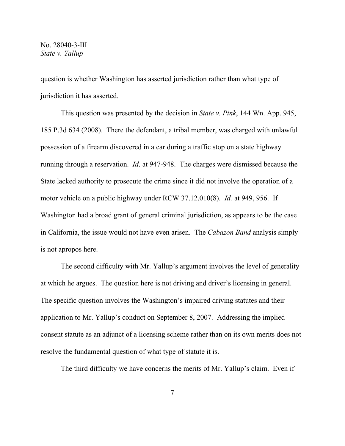question is whether Washington has asserted jurisdiction rather than what type of jurisdiction it has asserted.

This question was presented by the decision in *State v. Pink*, 144 Wn. App. 945, 185 P.3d 634 (2008). There the defendant, a tribal member, was charged with unlawful possession of a firearm discovered in a car during a traffic stop on a state highway running through a reservation. *Id*. at 947-948. The charges were dismissed because the State lacked authority to prosecute the crime since it did not involve the operation of a motor vehicle on a public highway under RCW 37.12.010(8). *Id.* at 949, 956. If Washington had a broad grant of general criminal jurisdiction, as appears to be the case in California, the issue would not have even arisen. The *Cabazon Band* analysis simply is not apropos here.

The second difficulty with Mr. Yallup's argument involves the level of generality at which he argues. The question here is not driving and driver's licensing in general. The specific question involves the Washington's impaired driving statutes and their application to Mr. Yallup's conduct on September 8, 2007. Addressing the implied consent statute as an adjunct of a licensing scheme rather than on its own merits does not resolve the fundamental question of what type of statute it is.

The third difficulty we have concerns the merits of Mr. Yallup's claim. Even if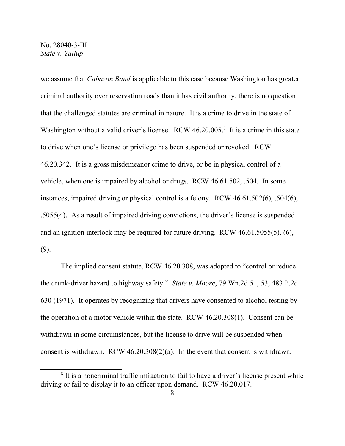we assume that *Cabazon Band* is applicable to this case because Washington has greater criminal authority over reservation roads than it has civil authority, there is no question that the challenged statutes are criminal in nature. It is a crime to drive in the state of Washington without a valid driver's license. RCW 46.20.005.<sup>8</sup> It is a crime in this state to drive when one's license or privilege has been suspended or revoked. RCW 46.20.342. It is a gross misdemeanor crime to drive, or be in physical control of a vehicle, when one is impaired by alcohol or drugs. RCW 46.61.502, .504. In some instances, impaired driving or physical control is a felony. RCW 46.61.502(6), .504(6), .5055(4). As a result of impaired driving convictions, the driver's license is suspended and an ignition interlock may be required for future driving. RCW 46.61.5055(5), (6), (9).

The implied consent statute, RCW 46.20.308, was adopted to "control or reduce the drunk-driver hazard to highway safety." *State v. Moore*, 79 Wn.2d 51, 53, 483 P.2d 630 (1971). It operates by recognizing that drivers have consented to alcohol testing by the operation of a motor vehicle within the state. RCW 46.20.308(1). Consent can be withdrawn in some circumstances, but the license to drive will be suspended when consent is withdrawn. RCW 46.20.308(2)(a). In the event that consent is withdrawn,

<sup>&</sup>lt;sup>8</sup> It is a noncriminal traffic infraction to fail to have a driver's license present while driving or fail to display it to an officer upon demand. RCW 46.20.017.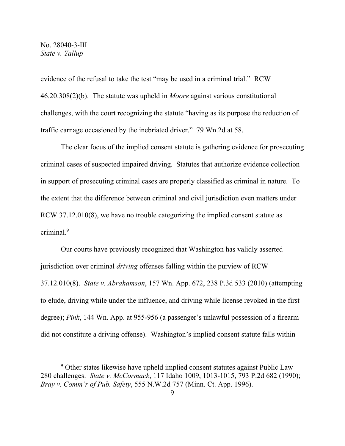evidence of the refusal to take the test "may be used in a criminal trial." RCW 46.20.308(2)(b). The statute was upheld in *Moore* against various constitutional challenges, with the court recognizing the statute "having as its purpose the reduction of traffic carnage occasioned by the inebriated driver." 79 Wn.2d at 58.

The clear focus of the implied consent statute is gathering evidence for prosecuting criminal cases of suspected impaired driving. Statutes that authorize evidence collection in support of prosecuting criminal cases are properly classified as criminal in nature. To the extent that the difference between criminal and civil jurisdiction even matters under RCW 37.12.010(8), we have no trouble categorizing the implied consent statute as criminal. 9

Our courts have previously recognized that Washington has validly asserted jurisdiction over criminal *driving* offenses falling within the purview of RCW 37.12.010(8). *State v. Abrahamson*, 157 Wn. App. 672, 238 P.3d 533 (2010) (attempting to elude, driving while under the influence, and driving while license revoked in the first degree); *Pink*, 144 Wn. App. at 955-956 (a passenger's unlawful possession of a firearm did not constitute a driving offense). Washington's implied consent statute falls within

<sup>9</sup> Other states likewise have upheld implied consent statutes against Public Law 280 challenges. *State v. McCormack*, 117 Idaho 1009, 1013-1015, 793 P.2d 682 (1990); *Bray v. Comm'r of Pub. Safety*, 555 N.W.2d 757 (Minn. Ct. App. 1996).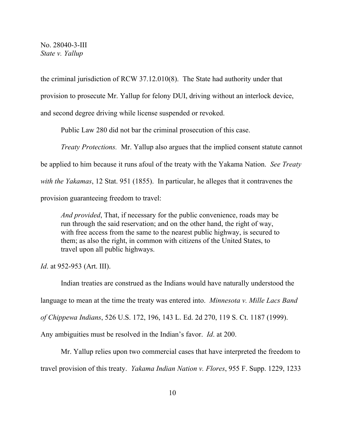the criminal jurisdiction of RCW 37.12.010(8). The State had authority under that provision to prosecute Mr. Yallup for felony DUI, driving without an interlock device, and second degree driving while license suspended or revoked.

Public Law 280 did not bar the criminal prosecution of this case.

*Treaty Protections.* Mr. Yallup also argues that the implied consent statute cannot be applied to him because it runs afoul of the treaty with the Yakama Nation. *See Treaty with the Yakamas*, 12 Stat. 951 (1855). In particular, he alleges that it contravenes the provision guaranteeing freedom to travel:

*And provided*, That, if necessary for the public convenience, roads may be run through the said reservation; and on the other hand, the right of way, with free access from the same to the nearest public highway, is secured to them; as also the right, in common with citizens of the United States, to travel upon all public highways.

*Id.* at 952-953 (Art. III).

Indian treaties are construed as the Indians would have naturally understood the language to mean at the time the treaty was entered into. *Minnesota v. Mille Lacs Band of Chippewa Indians*, 526 U.S. 172, 196, 143 L. Ed. 2d 270, 119 S. Ct. 1187 (1999). Any ambiguities must be resolved in the Indian's favor. *Id*. at 200.

Mr. Yallup relies upon two commercial cases that have interpreted the freedom to travel provision of this treaty. *Yakama Indian Nation v. Flores*, 955 F. Supp. 1229, 1233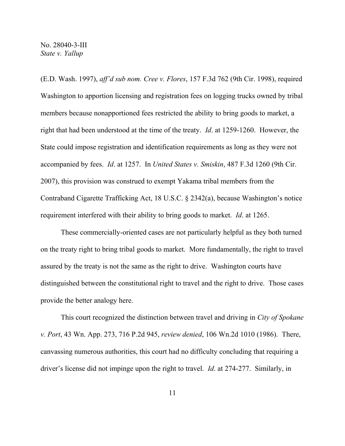(E.D. Wash. 1997), *aff'd sub nom. Cree v. Flores*, 157 F.3d 762 (9th Cir. 1998), required Washington to apportion licensing and registration fees on logging trucks owned by tribal members because nonapportioned fees restricted the ability to bring goods to market, a right that had been understood at the time of the treaty. *Id*. at 1259-1260. However, the State could impose registration and identification requirements as long as they were not accompanied by fees. *Id*. at 1257. In *United States v. Smiskin*, 487 F.3d 1260 (9th Cir. 2007), this provision was construed to exempt Yakama tribal members from the Contraband Cigarette Trafficking Act, 18 U.S.C. § 2342(a), because Washington's notice requirement interfered with their ability to bring goods to market. *Id*. at 1265.

These commercially-oriented cases are not particularly helpful as they both turned on the treaty right to bring tribal goods to market. More fundamentally, the right to travel assured by the treaty is not the same as the right to drive. Washington courts have distinguished between the constitutional right to travel and the right to drive. Those cases provide the better analogy here.

This court recognized the distinction between travel and driving in *City of Spokane v. Port*, 43 Wn. App. 273, 716 P.2d 945, *review denied*, 106 Wn.2d 1010 (1986). There, canvassing numerous authorities, this court had no difficulty concluding that requiring a driver's license did not impinge upon the right to travel. *Id*. at 274-277. Similarly, in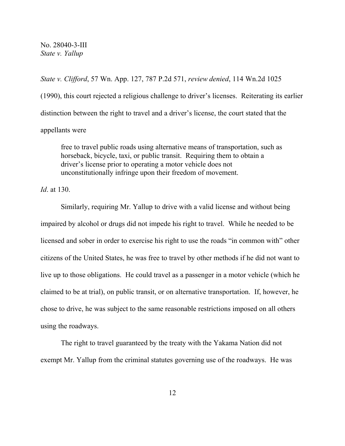*State v. Clifford*, 57 Wn. App. 127, 787 P.2d 571, *review denied*, 114 Wn.2d 1025 (1990), this court rejected a religious challenge to driver's licenses. Reiterating its earlier distinction between the right to travel and a driver's license, the court stated that the appellants were

free to travel public roads using alternative means of transportation, such as horseback, bicycle, taxi, or public transit. Requiring them to obtain a driver's license prior to operating a motor vehicle does not unconstitutionally infringe upon their freedom of movement.

*Id*. at 130.

Similarly, requiring Mr. Yallup to drive with a valid license and without being impaired by alcohol or drugs did not impede his right to travel. While he needed to be licensed and sober in order to exercise his right to use the roads "in common with" other citizens of the United States, he was free to travel by other methods if he did not want to live up to those obligations. He could travel as a passenger in a motor vehicle (which he claimed to be at trial), on public transit, or on alternative transportation. If, however, he chose to drive, he was subject to the same reasonable restrictions imposed on all others using the roadways.

The right to travel guaranteed by the treaty with the Yakama Nation did not exempt Mr. Yallup from the criminal statutes governing use of the roadways. He was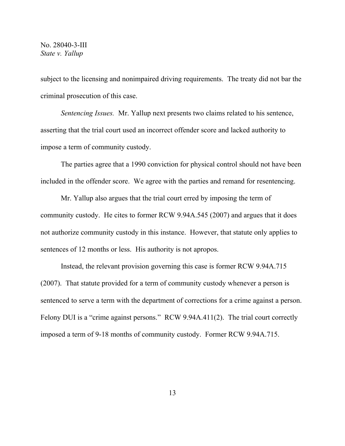subject to the licensing and nonimpaired driving requirements. The treaty did not bar the criminal prosecution of this case.

*Sentencing Issues.* Mr. Yallup next presents two claims related to his sentence, asserting that the trial court used an incorrect offender score and lacked authority to impose a term of community custody.

The parties agree that a 1990 conviction for physical control should not have been included in the offender score. We agree with the parties and remand for resentencing.

Mr. Yallup also argues that the trial court erred by imposing the term of community custody. He cites to former RCW 9.94A.545 (2007) and argues that it does not authorize community custody in this instance. However, that statute only applies to sentences of 12 months or less. His authority is not apropos.

Instead, the relevant provision governing this case is former RCW 9.94A.715 (2007). That statute provided for a term of community custody whenever a person is sentenced to serve a term with the department of corrections for a crime against a person. Felony DUI is a "crime against persons." RCW 9.94A.411(2). The trial court correctly imposed a term of 9-18 months of community custody. Former RCW 9.94A.715.